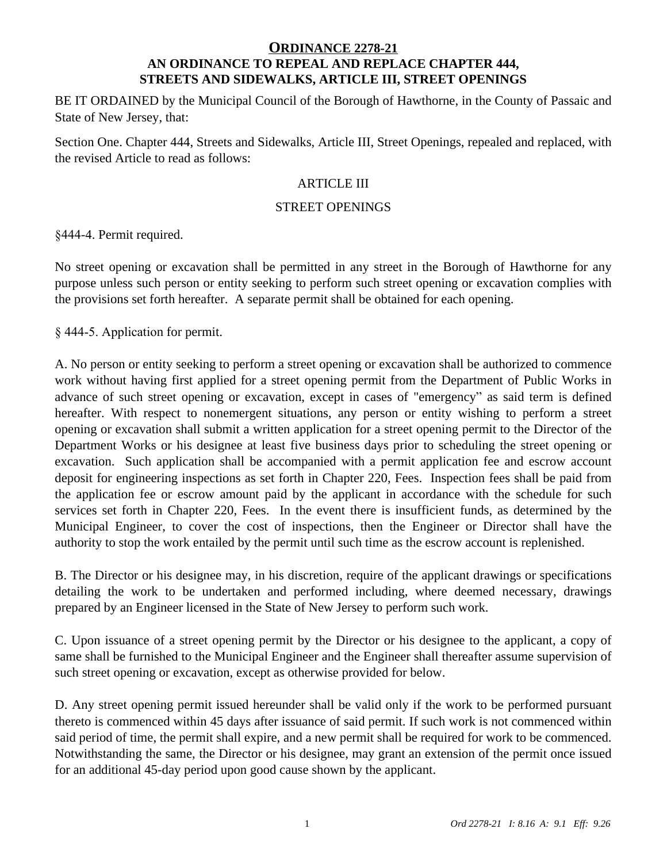#### **ORDINANCE 2278-21 AN ORDINANCE TO REPEAL AND REPLACE CHAPTER 444, STREETS AND SIDEWALKS, ARTICLE III, STREET OPENINGS**

BE IT ORDAINED by the Municipal Council of the Borough of Hawthorne, in the County of Passaic and State of New Jersey, that:

Section One. Chapter 444, Streets and Sidewalks, Article III, Street Openings, repealed and replaced, with the revised Article to read as follows:

### ARTICLE III

#### STREET OPENINGS

§444-4. Permit required.

No street opening or excavation shall be permitted in any street in the Borough of Hawthorne for any purpose unless such person or entity seeking to perform such street opening or excavation complies with the provisions set forth hereafter. A separate permit shall be obtained for each opening.

§ 444-5. Application for permit.

A. No person or entity seeking to perform a street opening or excavation shall be authorized to commence work without having first applied for a street opening permit from the Department of Public Works in advance of such street opening or excavation, except in cases of "emergency" as said term is defined hereafter. With respect to nonemergent situations, any person or entity wishing to perform a street opening or excavation shall submit a written application for a street opening permit to the Director of the Department Works or his designee at least five business days prior to scheduling the street opening or excavation. Such application shall be accompanied with a permit application fee and escrow account deposit for engineering inspections as set forth in Chapter 220, Fees. Inspection fees shall be paid from the application fee or escrow amount paid by the applicant in accordance with the schedule for such services set forth in Chapter 220, Fees. In the event there is insufficient funds, as determined by the Municipal Engineer, to cover the cost of inspections, then the Engineer or Director shall have the authority to stop the work entailed by the permit until such time as the escrow account is replenished.

B. The Director or his designee may, in his discretion, require of the applicant drawings or specifications detailing the work to be undertaken and performed including, where deemed necessary, drawings prepared by an Engineer licensed in the State of New Jersey to perform such work.

C. Upon issuance of a street opening permit by the Director or his designee to the applicant, a copy of same shall be furnished to the Municipal Engineer and the Engineer shall thereafter assume supervision of such street opening or excavation, except as otherwise provided for below.

D. Any street opening permit issued hereunder shall be valid only if the work to be performed pursuant thereto is commenced within 45 days after issuance of said permit. If such work is not commenced within said period of time, the permit shall expire, and a new permit shall be required for work to be commenced. Notwithstanding the same, the Director or his designee, may grant an extension of the permit once issued for an additional 45-day period upon good cause shown by the applicant.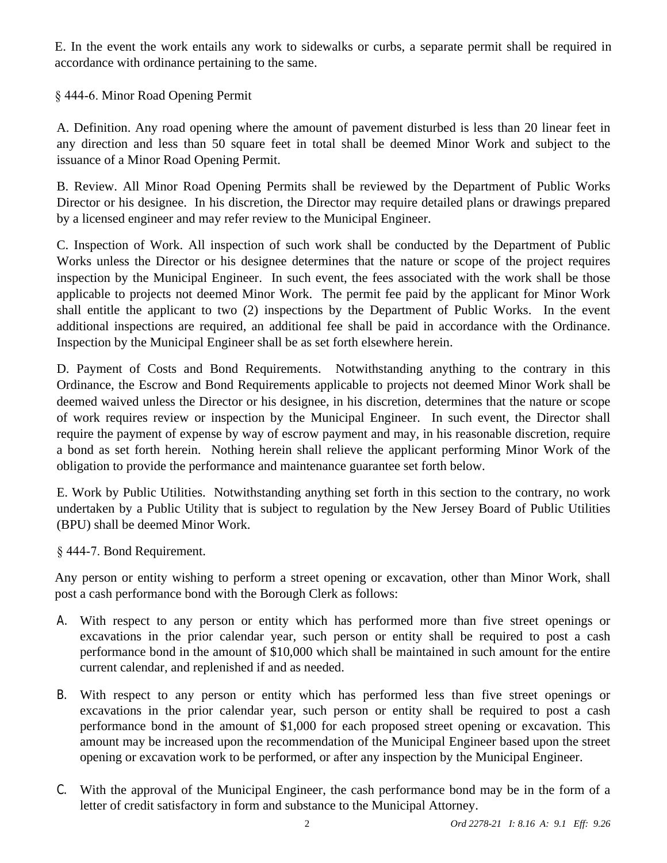E. In the event the work entails any work to sidewalks or curbs, a separate permit shall be required in accordance with ordinance pertaining to the same.

§ 444-6. Minor Road Opening Permit

A. Definition. Any road opening where the amount of pavement disturbed is less than 20 linear feet in any direction and less than 50 square feet in total shall be deemed Minor Work and subject to the issuance of a Minor Road Opening Permit.

B. Review. All Minor Road Opening Permits shall be reviewed by the Department of Public Works Director or his designee. In his discretion, the Director may require detailed plans or drawings prepared by a licensed engineer and may refer review to the Municipal Engineer.

C. Inspection of Work. All inspection of such work shall be conducted by the Department of Public Works unless the Director or his designee determines that the nature or scope of the project requires inspection by the Municipal Engineer. In such event, the fees associated with the work shall be those applicable to projects not deemed Minor Work. The permit fee paid by the applicant for Minor Work shall entitle the applicant to two (2) inspections by the Department of Public Works. In the event additional inspections are required, an additional fee shall be paid in accordance with the Ordinance. Inspection by the Municipal Engineer shall be as set forth elsewhere herein.

D. Payment of Costs and Bond Requirements. Notwithstanding anything to the contrary in this Ordinance, the Escrow and Bond Requirements applicable to projects not deemed Minor Work shall be deemed waived unless the Director or his designee, in his discretion, determines that the nature or scope of work requires review or inspection by the Municipal Engineer. In such event, the Director shall require the payment of expense by way of escrow payment and may, in his reasonable discretion, require a bond as set forth herein. Nothing herein shall relieve the applicant performing Minor Work of the obligation to provide the performance and maintenance guarantee set forth below.

E. Work by Public Utilities. Notwithstanding anything set forth in this section to the contrary, no work undertaken by a Public Utility that is subject to regulation by the New Jersey Board of Public Utilities (BPU) shall be deemed Minor Work.

§ 444-7. Bond Requirement.

Any person or entity wishing to perform a street opening or excavation, other than Minor Work, shall post a cash performance bond with the Borough Clerk as follows:

- A. With respect to any person or entity which has performed more than five street openings or excavations in the prior calendar year, such person or entity shall be required to post a cash performance bond in the amount of \$10,000 which shall be maintained in such amount for the entire current calendar, and replenished if and as needed.
- B. With respect to any person or entity which has performed less than five street openings or excavations in the prior calendar year, such person or entity shall be required to post a cash performance bond in the amount of \$1,000 for each proposed street opening or excavation. This amount may be increased upon the recommendation of the Municipal Engineer based upon the street opening or excavation work to be performed, or after any inspection by the Municipal Engineer.
- C. With the approval of the Municipal Engineer, the cash performance bond may be in the form of a letter of credit satisfactory in form and substance to the Municipal Attorney.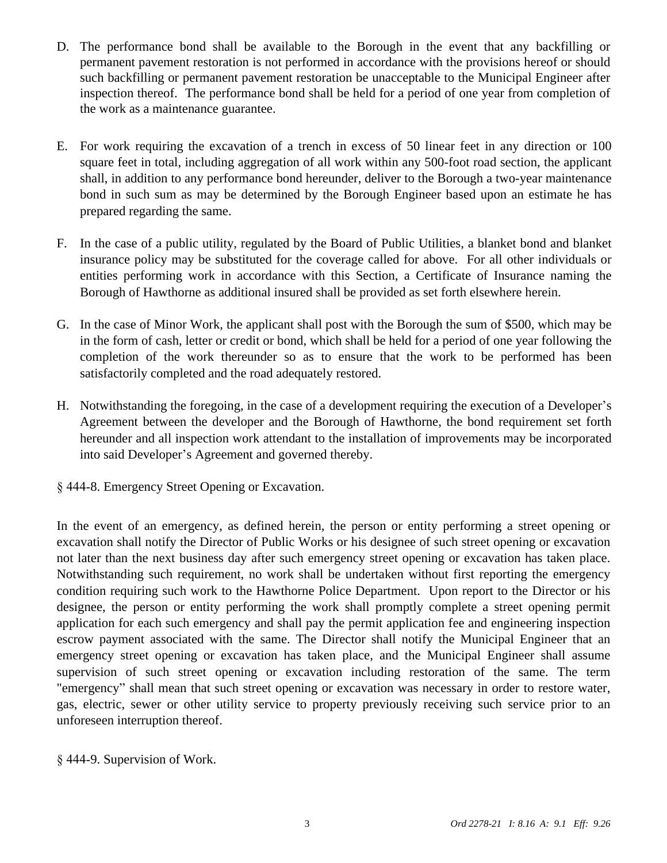- D. The performance bond shall be available to the Borough in the event that any backfilling or permanent pavement restoration is not performed in accordance with the provisions hereof or should such backfilling or permanent pavement restoration be unacceptable to the Municipal Engineer after inspection thereof. The performance bond shall be held for a period of one year from completion of the work as a maintenance guarantee.
- E. For work requiring the excavation of a trench in excess of 50 linear feet in any direction or 100 square feet in total, including aggregation of all work within any 500-foot road section, the applicant shall, in addition to any performance bond hereunder, deliver to the Borough a two-year maintenance bond in such sum as may be determined by the Borough Engineer based upon an estimate he has prepared regarding the same.
- F. In the case of a public utility, regulated by the Board of Public Utilities, a blanket bond and blanket insurance policy may be substituted for the coverage called for above. For all other individuals or entities performing work in accordance with this Section, a Certificate of Insurance naming the Borough of Hawthorne as additional insured shall be provided as set forth elsewhere herein.
- G. In the case of Minor Work, the applicant shall post with the Borough the sum of \$500, which may be in the form of cash, letter or credit or bond, which shall be held for a period of one year following the completion of the work thereunder so as to ensure that the work to be performed has been satisfactorily completed and the road adequately restored.
- H. Notwithstanding the foregoing, in the case of a development requiring the execution of a Developer's Agreement between the developer and the Borough of Hawthorne, the bond requirement set forth hereunder and all inspection work attendant to the installation of improvements may be incorporated into said Developer's Agreement and governed thereby.
- § 444-8. Emergency Street Opening or Excavation.

In the event of an emergency, as defined herein, the person or entity performing a street opening or excavation shall notify the Director of Public Works or his designee of such street opening or excavation not later than the next business day after such emergency street opening or excavation has taken place. Notwithstanding such requirement, no work shall be undertaken without first reporting the emergency condition requiring such work to the Hawthorne Police Department. Upon report to the Director or his designee, the person or entity performing the work shall promptly complete a street opening permit application for each such emergency and shall pay the permit application fee and engineering inspection escrow payment associated with the same. The Director shall notify the Municipal Engineer that an emergency street opening or excavation has taken place, and the Municipal Engineer shall assume supervision of such street opening or excavation including restoration of the same. The term "emergency" shall mean that such street opening or excavation was necessary in order to restore water, gas, electric, sewer or other utility service to property previously receiving such service prior to an unforeseen interruption thereof.

§ 444-9. Supervision of Work.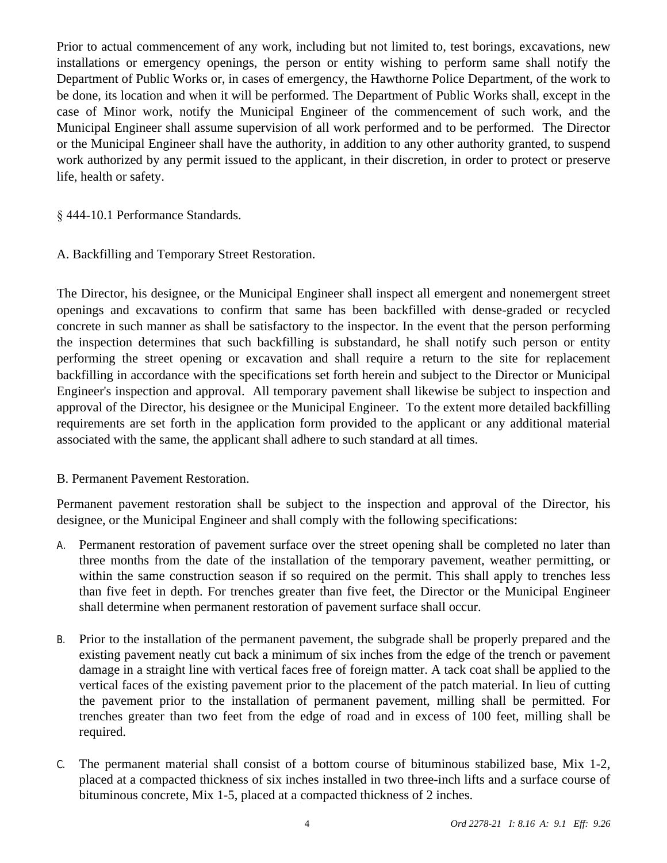Prior to actual commencement of any work, including but not limited to, test borings, excavations, new installations or emergency openings, the person or entity wishing to perform same shall notify the Department of Public Works or, in cases of emergency, the Hawthorne Police Department, of the work to be done, its location and when it will be performed. The Department of Public Works shall, except in the case of Minor work, notify the Municipal Engineer of the commencement of such work, and the Municipal Engineer shall assume supervision of all work performed and to be performed. The Director or the Municipal Engineer shall have the authority, in addition to any other authority granted, to suspend work authorized by any permit issued to the applicant, in their discretion, in order to protect or preserve life, health or safety.

§ 444-10.1 Performance Standards.

A. Backfilling and Temporary Street Restoration.

The Director, his designee, or the Municipal Engineer shall inspect all emergent and nonemergent street openings and excavations to confirm that same has been backfilled with dense-graded or recycled concrete in such manner as shall be satisfactory to the inspector. In the event that the person performing the inspection determines that such backfilling is substandard, he shall notify such person or entity performing the street opening or excavation and shall require a return to the site for replacement backfilling in accordance with the specifications set forth herein and subject to the Director or Municipal Engineer's inspection and approval. All temporary pavement shall likewise be subject to inspection and approval of the Director, his designee or the Municipal Engineer. To the extent more detailed backfilling requirements are set forth in the application form provided to the applicant or any additional material associated with the same, the applicant shall adhere to such standard at all times.

# B. Permanent Pavement Restoration.

Permanent pavement restoration shall be subject to the inspection and approval of the Director, his designee, or the Municipal Engineer and shall comply with the following specifications:

- A. Permanent restoration of pavement surface over the street opening shall be completed no later than three months from the date of the installation of the temporary pavement, weather permitting, or within the same construction season if so required on the permit. This shall apply to trenches less than five feet in depth. For trenches greater than five feet, the Director or the Municipal Engineer shall determine when permanent restoration of pavement surface shall occur.
- B. Prior to the installation of the permanent pavement, the subgrade shall be properly prepared and the existing pavement neatly cut back a minimum of six inches from the edge of the trench or pavement damage in a straight line with vertical faces free of foreign matter. A tack coat shall be applied to the vertical faces of the existing pavement prior to the placement of the patch material. In lieu of cutting the pavement prior to the installation of permanent pavement, milling shall be permitted. For trenches greater than two feet from the edge of road and in excess of 100 feet, milling shall be required.
- C. The permanent material shall consist of a bottom course of bituminous stabilized base, Mix 1-2, placed at a compacted thickness of six inches installed in two three-inch lifts and a surface course of bituminous concrete, Mix 1-5, placed at a compacted thickness of 2 inches.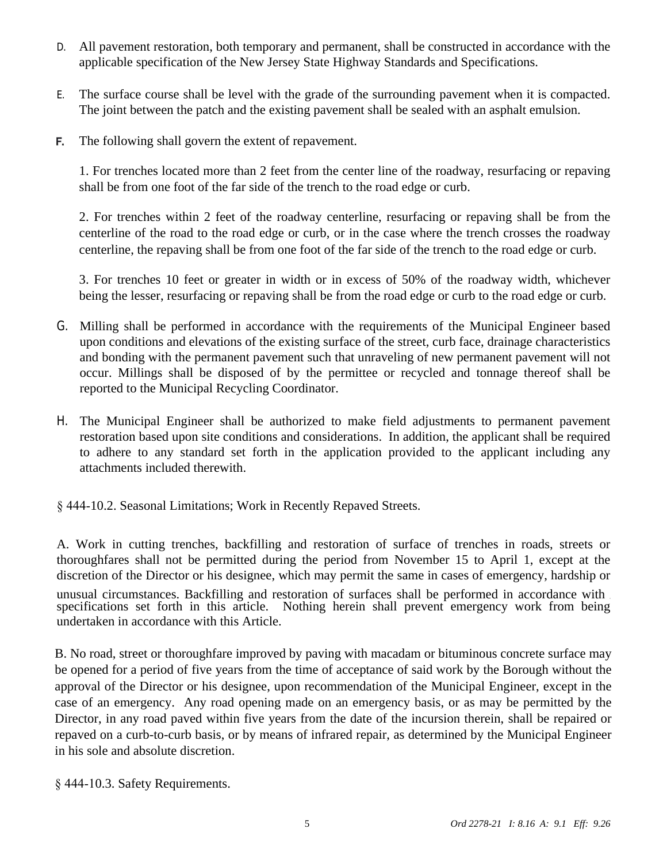- D. All pavement restoration, both temporary and permanent, shall be constructed in accordance with the applicable specification of the New Jersey State Highway Standards and Specifications.
- E. The surface course shall be level with the grade of the surrounding pavement when it is compacted. The joint between the patch and the existing pavement shall be sealed with an asphalt emulsion.
- The following shall govern the extent of repavement. F.

1. For trenches located more than 2 feet from the center line of the roadway, resurfacing or repaving shall be from one foot of the far side of the trench to the road edge or curb.

2. For trenches within 2 feet of the roadway centerline, resurfacing or repaving shall be from the centerline of the road to the road edge or curb, or in the case where the trench crosses the roadway centerline, the repaving shall be from one foot of the far side of the trench to the road edge or curb.

3. For trenches 10 feet or greater in width or in excess of 50% of the roadway width, whichever being the lesser, resurfacing or repaving shall be from the road edge or curb to the road edge or curb.

- G. Milling shall be performed in accordance with the requirements of the Municipal Engineer based upon conditions and elevations of the existing surface of the street, curb face, drainage characteristics and bonding with the permanent pavement such that unraveling of new permanent pavement will not occur. Millings shall be disposed of by the permittee or recycled and tonnage thereof shall be reported to the Municipal Recycling Coordinator.
- H. The Municipal Engineer shall be authorized to make field adjustments to permanent pavement restoration based upon site conditions and considerations. In addition, the applicant shall be required to adhere to any standard set forth in the application provided to the applicant including any attachments included therewith.

§ 444-10.2. Seasonal Limitations; Work in Recently Repaved Streets.

A. Work in cutting trenches, backfilling and restoration of surface of trenches in roads, streets or thoroughfares shall not be permitted during the period from November 15 to April 1, except at the discretion of the Director or his designee, which may permit the same in cases of emergency, hardship or unusual circumstances. Backfilling and restoration of surfaces shall be performed in accordance with specifications set forth in this article. Nothing herein shall prevent emergency work from being undertaken in accordance with this Article.

B. No road, street or thoroughfare improved by paving with macadam or bituminous concrete surface may be opened for a period of five years from the time of acceptance of said work by the Borough without the approval of the Director or his designee, upon recommendation of the Municipal Engineer, except in the case of an emergency. Any road opening made on an emergency basis, or as may be permitted by the Director, in any road paved within five years from the date of the incursion therein, shall be repaired or repaved on a curb-to-curb basis, or by means of infrared repair, as determined by the Municipal Engineer in his sole and absolute discretion.

§ 444-10.3. Safety Requirements.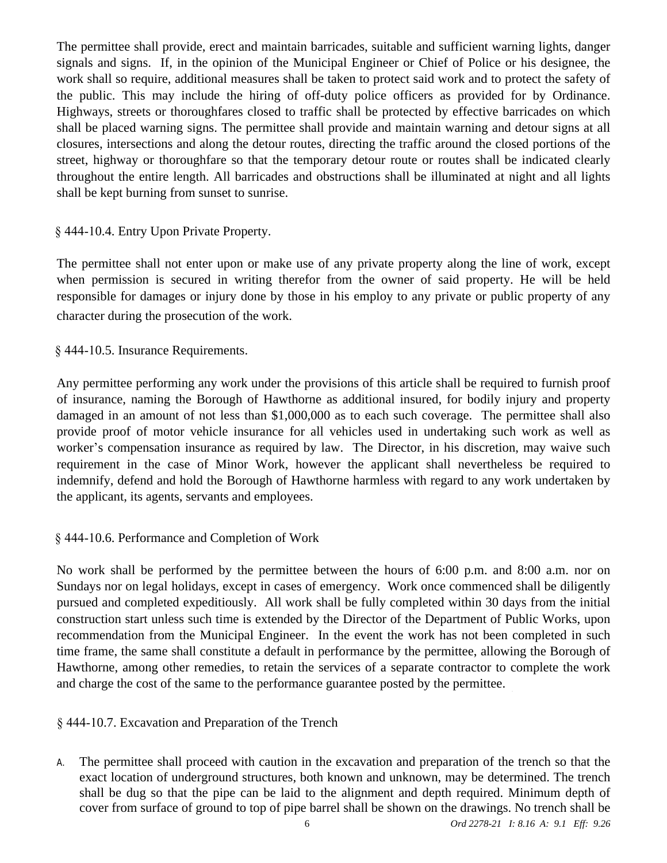The permittee shall provide, erect and maintain barricades, suitable and sufficient warning lights, danger signals and signs. If, in the opinion of the Municipal Engineer or Chief of Police or his designee, the work shall so require, additional measures shall be taken to protect said work and to protect the safety of the public. This may include the hiring of off-duty police officers as provided for by Ordinance. Highways, streets or thoroughfares closed to traffic shall be protected by effective barricades on which shall be placed warning signs. The permittee shall provide and maintain warning and detour signs at all closures, intersections and along the detour routes, directing the traffic around the closed portions of the street, highway or thoroughfare so that the temporary detour route or routes shall be indicated clearly throughout the entire length. All barricades and obstructions shall be illuminated at night and all lights shall be kept burning from sunset to sunrise.

# § 444-10.4. Entry Upon Private Property.

The permittee shall not enter upon or make use of any private property along the line of work, except when permission is secured in writing therefor from the owner of said property. He will be held responsible for damages or injury done by those in his employ to any private or public property of any character during the prosecution of the work.

§ 444-10.5. Insurance Requirements.

Any permittee performing any work under the provisions of this article shall be required to furnish proof of insurance, naming the Borough of Hawthorne as additional insured, for bodily injury and property damaged in an amount of not less than \$1,000,000 as to each such coverage. The permittee shall also provide proof of motor vehicle insurance for all vehicles used in undertaking such work as well as worker's compensation insurance as required by law. The Director, in his discretion, may waive such requirement in the case of Minor Work, however the applicant shall nevertheless be required to indemnify, defend and hold the Borough of Hawthorne harmless with regard to any work undertaken by the applicant, its agents, servants and employees.

# § 444-10.6. Performance and Completion of Work

No work shall be performed by the permittee between the hours of 6:00 p.m. and 8:00 a.m. nor on Sundays nor on legal holidays, except in cases of emergency. Work once commenced shall be diligently pursued and completed expeditiously. All work shall be fully completed within 30 days from the initial construction start unless such time is extended by the Director of the Department of Public Works, upon recommendation from the Municipal Engineer. In the event the work has not been completed in such time frame, the same shall constitute a default in performance by the permittee, allowing the Borough of Hawthorne, among other remedies, to retain the services of a separate contractor to complete the work and charge the cost of the same to the performance guarantee posted by the permittee.

§ 444-10.7. Excavation and Preparation of the Trench

A. The permittee shall proceed with caution in the excavation and preparation of the trench so that the exact location of underground structures, both known and unknown, may be determined. The trench shall be dug so that the pipe can be laid to the alignment and depth required. Minimum depth of cover from surface of ground to top of pipe barrel shall be shown on the drawings. No trench shall be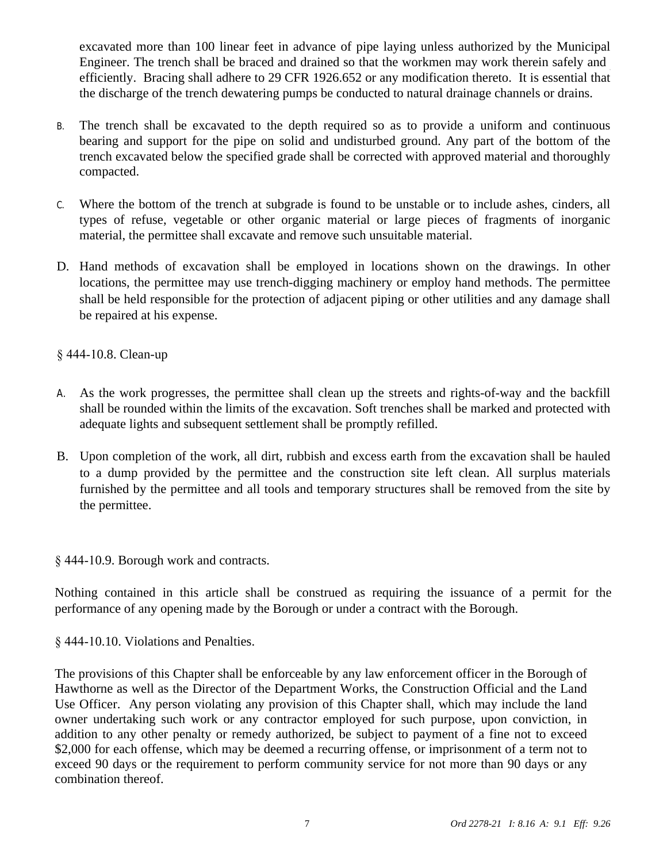excavated more than 100 linear feet in advance of pipe laying unless authorized by the Municipal Engineer. The trench shall be braced and drained so that the workmen may work therein safely and efficiently. Bracing shall adhere to 29 CFR 1926.652 or any modification thereto. It is essential that the discharge of the trench dewatering pumps be conducted to natural drainage channels or drains.

- B. The trench shall be excavated to the depth required so as to provide a uniform and continuous bearing and support for the pipe on solid and undisturbed ground. Any part of the bottom of the trench excavated below the specified grade shall be corrected with approved material and thoroughly compacted.
- C. Where the bottom of the trench at subgrade is found to be unstable or to include ashes, cinders, all types of refuse, vegetable or other organic material or large pieces of fragments of inorganic material, the permittee shall excavate and remove such unsuitable material.
- D. Hand methods of excavation shall be employed in locations shown on the drawings. In other locations, the permittee may use trench-digging machinery or employ hand methods. The permittee shall be held responsible for the protection of adjacent piping or other utilities and any damage shall be repaired at his expense.

# § 444-10.8. Clean-up

- A. As the work progresses, the permittee shall clean up the streets and rights-of-way and the backfill shall be rounded within the limits of the excavation. Soft trenches shall be marked and protected with adequate lights and subsequent settlement shall be promptly refilled.
- B. Upon completion of the work, all dirt, rubbish and excess earth from the excavation shall be hauled to a dump provided by the permittee and the construction site left clean. All surplus materials furnished by the permittee and all tools and temporary structures shall be removed from the site by the permittee.

#### § 444-10.9. Borough work and contracts.

Nothing contained in this article shall be construed as requiring the issuance of a permit for the performance of any opening made by the Borough or under a contract with the Borough.

§ 444-10.10. Violations and Penalties.

The provisions of this Chapter shall be enforceable by any law enforcement officer in the Borough of Hawthorne as well as the Director of the Department Works, the Construction Official and the Land Use Officer. Any person violating any provision of this Chapter shall, which may include the land owner undertaking such work or any contractor employed for such purpose, upon conviction, in addition to any other penalty or remedy authorized, be subject to payment of a fine not to exceed \$2,000 for each offense, which may be deemed a recurring offense, or imprisonment of a term not to exceed 90 days or the requirement to perform community service for not more than 90 days or any combination thereof.